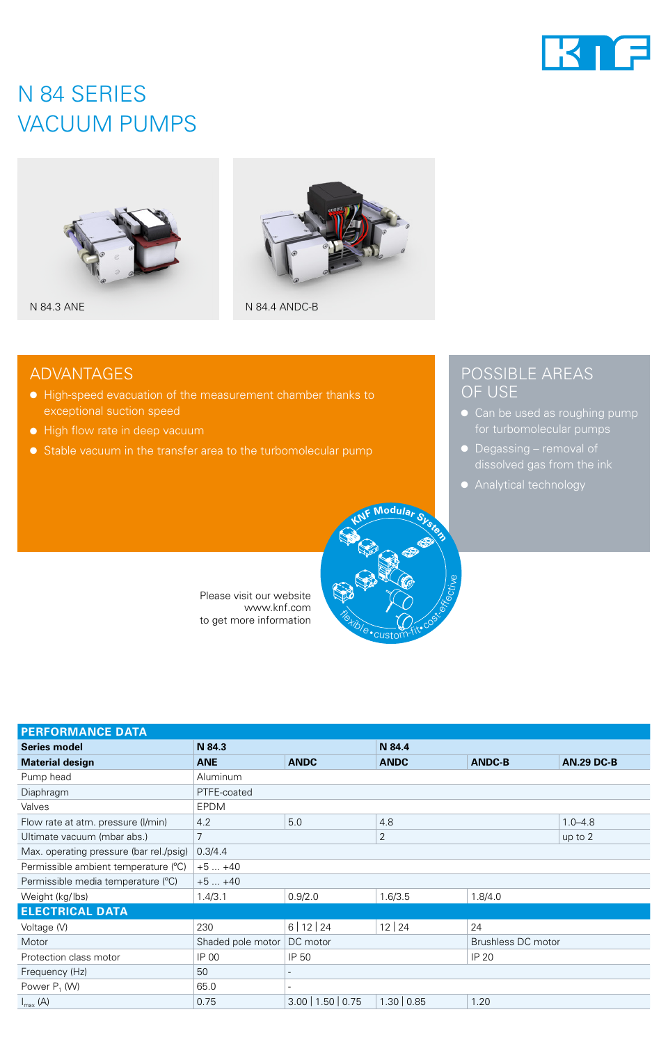

# N 84 SERIES VACUUM PUMPS



N 84.3 ANE



N 84.4 ANDC-B

## ADVANTAGES

- High-speed evacuation of the measurement chamber thanks to exceptional suction speed
- High flow rate in deep vacuum
- Stable vacuum in the transfer area to the turbomolecular pump

## POSSIBLE AREAS OF USE

- Can be used as roughing pump
- Degassing removal of
- Analytical technology



Please visit our website www.knf.com to get more information

| <b>PERFORMANCE DATA</b>                 |                   |                          |                |                    |                   |
|-----------------------------------------|-------------------|--------------------------|----------------|--------------------|-------------------|
| <b>Series model</b>                     | N 84.3            |                          | N 84.4         |                    |                   |
| <b>Material design</b>                  | <b>ANE</b>        | <b>ANDC</b>              | <b>ANDC</b>    | <b>ANDC-B</b>      | <b>AN.29 DC-B</b> |
| Pump head                               | <b>Aluminum</b>   |                          |                |                    |                   |
| Diaphragm                               | PTFE-coated       |                          |                |                    |                   |
| Valves                                  | <b>EPDM</b>       |                          |                |                    |                   |
| Flow rate at atm. pressure (I/min)      | 4.2               | 5.0                      | 4.8            |                    | $1.0 - 4.8$       |
| Ultimate vacuum (mbar abs.)             | $\overline{7}$    |                          | $\overline{2}$ |                    | up to 2           |
| Max. operating pressure (bar rel./psig) | 0.3/4.4           |                          |                |                    |                   |
| Permissible ambient temperature (°C)    | $+5+40$           |                          |                |                    |                   |
| Permissible media temperature (°C)      | $+5+40$           |                          |                |                    |                   |
| Weight (kg/lbs)                         | 1.4/3.1           | 0.9/2.0                  | 1.6/3.5        | 1.8/4.0            |                   |
| <b>ELECTRICAL DATA</b>                  |                   |                          |                |                    |                   |
| Voltage (V)                             | 230               | 6 12 24                  | 12 24          | 24                 |                   |
| Motor                                   | Shaded pole motor | DC motor                 |                | Brushless DC motor |                   |
| Protection class motor                  | IP 00             | IP 50                    |                | IP 20              |                   |
| Frequency (Hz)                          | 50                | -                        |                |                    |                   |
| Power P <sub>1</sub> (W)                | 65.0              | $\overline{\phantom{a}}$ |                |                    |                   |
| $I_{\text{max}}(A)$                     | 0.75              | $3.00$   1.50   0.75     | 1.30   0.85    | 1.20               |                   |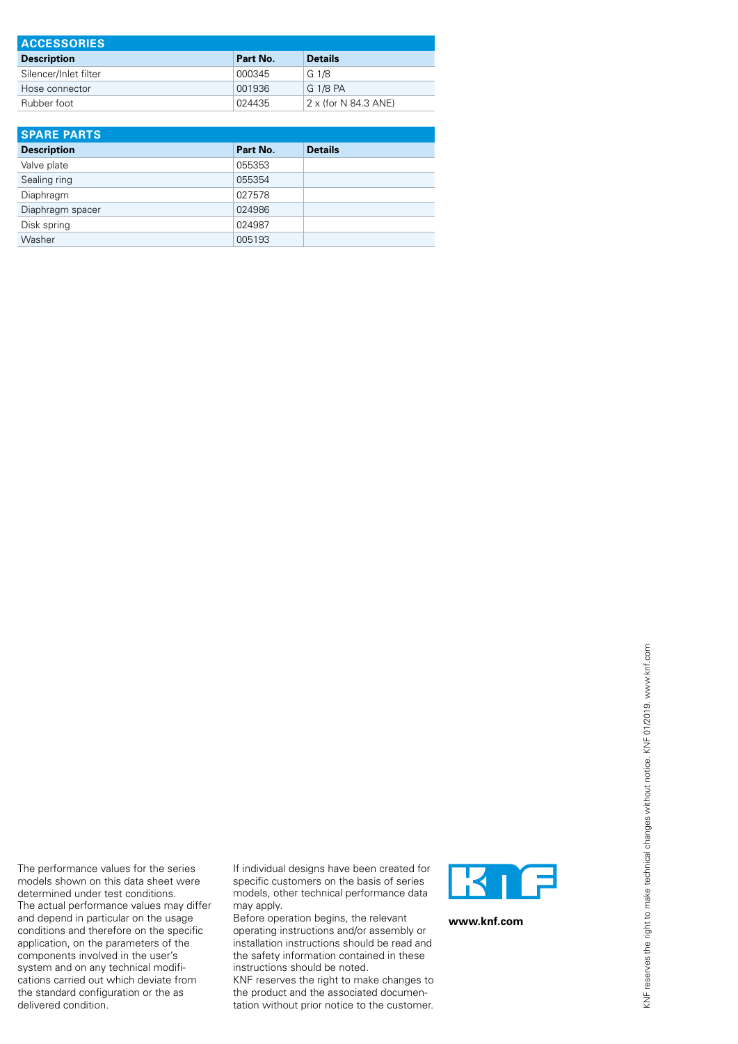| <b>ACCESSORIES</b>    |          |                             |  |  |
|-----------------------|----------|-----------------------------|--|--|
| <b>Description</b>    | Part No. | <b>Details</b>              |  |  |
| Silencer/Inlet filter | 000345   | G 1/8                       |  |  |
| Hose connector        | 001936   | G 1/8 PA                    |  |  |
| Rubber foot           | 024435   | $2 \times$ (for N 84.3 ANE) |  |  |

| <b>SPARE PARTS</b> |          |                |  |  |
|--------------------|----------|----------------|--|--|
| <b>Description</b> | Part No. | <b>Details</b> |  |  |
| Valve plate        | 055353   |                |  |  |
| Sealing ring       | 055354   |                |  |  |
| Diaphragm          | 027578   |                |  |  |
| Diaphragm spacer   | 024986   |                |  |  |
| Disk spring        | 024987   |                |  |  |
| Washer             | 005193   |                |  |  |

The performance values for the series models shown on this data sheet were determined under test conditions. The actual performance values may differ and depend in particular on the usage conditions and therefore on the specific application, on the parameters of the components involved in the user's system and on any technical modifications carried out which deviate from the standard configuration or the as delivered condition.

If individual designs have been created for specific customers on the basis of series models, other technical performance data may apply.

Before operation begins, the relevant operating instructions and/or assembly or installation instructions should be read and the safety information contained in these instructions should be noted.

KNF reserves the right to make changes to the product and the associated documentation without prior notice to the customer.



**www.knf.com**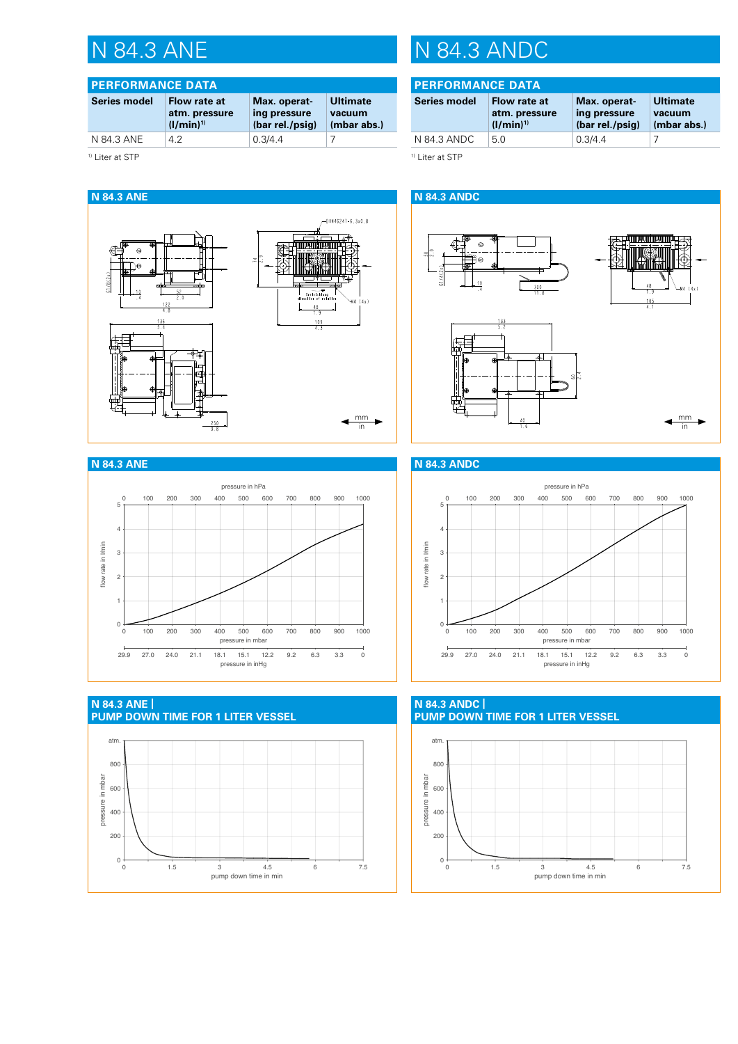| <b>PERFORMANCE DATA</b> |                                                |                                                 |                                   |  |
|-------------------------|------------------------------------------------|-------------------------------------------------|-----------------------------------|--|
| <b>Series model</b>     | Flow rate at<br>atm. pressure<br>$(1/min)^{1}$ | Max. operat-<br>ing pressure<br>(bar rel./psig) | Ultimate<br>vacuum<br>(mbar abs.) |  |
| N 84.3 ANE              | 42                                             | 0.3/4.4                                         |                                   |  |

<sup>1)</sup> Liter at STP

# N 84.3 ANE N 84.3 ANDC

# **PERFORMANCE DATA**

| <b>Series model</b> | Flow rate at<br>atm. pressure<br>$(1/min)^{1}$ | Max. operat-<br>ing pressure<br>(bar rel./psig) | <b>Ultimate</b><br>vacuum<br>(mbar abs.) |
|---------------------|------------------------------------------------|-------------------------------------------------|------------------------------------------|
| N 84.3 ANDC         | 5 O                                            | 0.3/4.4                                         |                                          |
|                     |                                                |                                                 |                                          |

<sup>1)</sup> Liter at STP



### **N 84.3 ANDC**





**N 84.3 ANE | PUMP DOWN TIME FOR 1 LITER VESSEL Auspumpkurve1-liter-Daten N84.3 ANE** atm. 800 pressure in mbar pressure in mbar 600 400 200  $0\frac{1}{0}$ 0 1.5 3 4.5 6 7.5 pump down time in min

**PUMP DOWN TIME FOR 1 LITER VESSEL N 84.3 ANDC |**